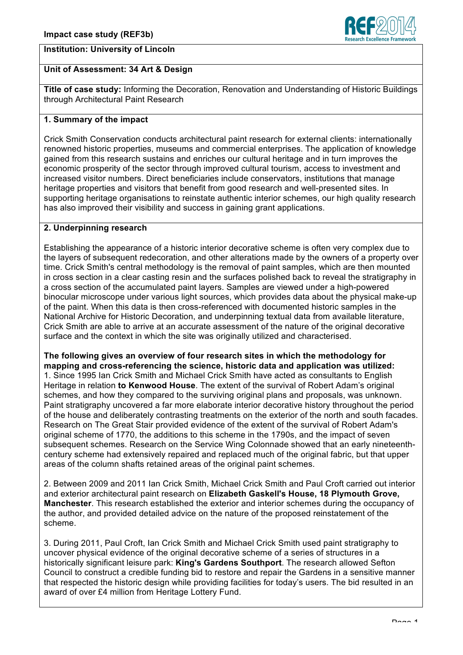# **Institution: University of Lincoln**



## **Unit of Assessment: 34 Art & Design**

**Title of case study:** Informing the Decoration, Renovation and Understanding of Historic Buildings through Architectural Paint Research

## **1. Summary of the impact**

Crick Smith Conservation conducts architectural paint research for external clients: internationally renowned historic properties, museums and commercial enterprises. The application of knowledge gained from this research sustains and enriches our cultural heritage and in turn improves the economic prosperity of the sector through improved cultural tourism, access to investment and increased visitor numbers. Direct beneficiaries include conservators, institutions that manage heritage properties and visitors that benefit from good research and well-presented sites. In supporting heritage organisations to reinstate authentic interior schemes, our high quality research has also improved their visibility and success in gaining grant applications.

## **2. Underpinning research**

Establishing the appearance of a historic interior decorative scheme is often very complex due to the layers of subsequent redecoration, and other alterations made by the owners of a property over time. Crick Smith's central methodology is the removal of paint samples, which are then mounted in cross section in a clear casting resin and the surfaces polished back to reveal the stratigraphy in a cross section of the accumulated paint layers. Samples are viewed under a high-powered binocular microscope under various light sources, which provides data about the physical make-up of the paint. When this data is then cross-referenced with documented historic samples in the National Archive for Historic Decoration, and underpinning textual data from available literature, Crick Smith are able to arrive at an accurate assessment of the nature of the original decorative surface and the context in which the site was originally utilized and characterised.

**The following gives an overview of four research sites in which the methodology for mapping and cross-referencing the science, historic data and application was utilized:** 1. Since 1995 Ian Crick Smith and Michael Crick Smith have acted as consultants to English Heritage in relation **to Kenwood House**. The extent of the survival of Robert Adam's original schemes, and how they compared to the surviving original plans and proposals, was unknown. Paint stratigraphy uncovered a far more elaborate interior decorative history throughout the period of the house and deliberately contrasting treatments on the exterior of the north and south facades. Research on The Great Stair provided evidence of the extent of the survival of Robert Adam's original scheme of 1770, the additions to this scheme in the 1790s, and the impact of seven subsequent schemes. Research on the Service Wing Colonnade showed that an early nineteenthcentury scheme had extensively repaired and replaced much of the original fabric, but that upper areas of the column shafts retained areas of the original paint schemes.

2. Between 2009 and 2011 Ian Crick Smith, Michael Crick Smith and Paul Croft carried out interior and exterior architectural paint research on **Elizabeth Gaskell's House, 18 Plymouth Grove, Manchester**. This research established the exterior and interior schemes during the occupancy of the author, and provided detailed advice on the nature of the proposed reinstatement of the scheme.

3. During 2011, Paul Croft, Ian Crick Smith and Michael Crick Smith used paint stratigraphy to uncover physical evidence of the original decorative scheme of a series of structures in a historically significant leisure park: **King's Gardens Southport**. The research allowed Sefton Council to construct a credible funding bid to restore and repair the Gardens in a sensitive manner that respected the historic design while providing facilities for today's users. The bid resulted in an award of over £4 million from Heritage Lottery Fund.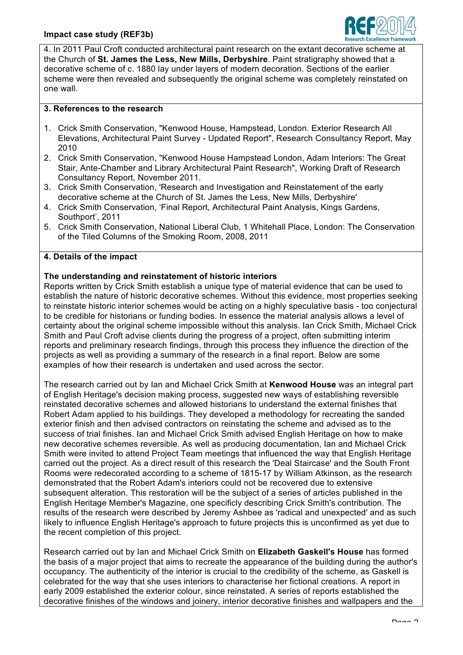

4. In 2011 Paul Croft conducted architectural paint research on the extant decorative scheme at the Church of **St. James the Less, New Mills, Derbyshire**. Paint stratigraphy showed that a decorative scheme of c. 1880 lay under layers of modern decoration. Sections of the earlier scheme were then revealed and subsequently the original scheme was completely reinstated on one wall.

#### **3. References to the research**

- 1. Crick Smith Conservation, "Kenwood House, Hampstead, London. Exterior Research All Elevations, Architectural Paint Survey - Updated Report", Research Consultancy Report, May 2010
- 2. Crick Smith Conservation, "Kenwood House Hampstead London, Adam Interiors: The Great Stair, Ante-Chamber and Library Architectural Paint Research", Working Draft of Research Consultancy Report, November 2011.
- 3. Crick Smith Conservation, 'Research and Investigation and Reinstatement of the early decorative scheme at the Church of St. James the Less, New Mills, Derbyshire'
- 4. Crick Smith Conservation, 'Final Report, Architectural Paint Analysis, Kings Gardens, Southport', 2011
- 5. Crick Smith Conservation, National Liberal Club, 1 Whitehall Place, London: The Conservation of the Tiled Columns of the Smoking Room, 2008, 2011

#### **4. Details of the impact**

## **The understanding and reinstatement of historic interiors**

Reports written by Crick Smith establish a unique type of material evidence that can be used to establish the nature of historic decorative schemes. Without this evidence, most properties seeking to reinstate historic interior schemes would be acting on a highly speculative basis - too conjectural to be credible for historians or funding bodies. In essence the material analysis allows a level of certainty about the original scheme impossible without this analysis. Ian Crick Smith, Michael Crick Smith and Paul Croft advise clients during the progress of a project, often submitting interim reports and preliminary research findings, through this process they influence the direction of the projects as well as providing a summary of the research in a final report. Below are some examples of how their research is undertaken and used across the sector.

The research carried out by Ian and Michael Crick Smith at **Kenwood House** was an integral part of English Heritage's decision making process, suggested new ways of establishing reversible reinstated decorative schemes and allowed historians to understand the external finishes that Robert Adam applied to his buildings. They developed a methodology for recreating the sanded exterior finish and then advised contractors on reinstating the scheme and advised as to the success of trial finishes. Ian and Michael Crick Smith advised English Heritage on how to make new decorative schemes reversible. As well as producing documentation, Ian and Michael Crick Smith were invited to attend Project Team meetings that influenced the way that English Heritage carried out the project. As a direct result of this research the 'Deal Staircase' and the South Front Rooms were redecorated according to a scheme of 1815-17 by William Atkinson, as the research demonstrated that the Robert Adam's interiors could not be recovered due to extensive subsequent alteration. This restoration will be the subject of a series of articles published in the English Heritage Member's Magazine, one specificly describing Crick Smith's contribution. The results of the research were described by Jeremy Ashbee as 'radical and unexpected' and as such likely to influence English Heritage's approach to future projects this is unconfirmed as yet due to the recent completion of this project.

Research carried out by Ian and Michael Crick Smith on **Elizabeth Gaskell's House** has formed the basis of a major project that aims to recreate the appearance of the building during the author's occupancy. The authenticity of the interior is crucial to the credibility of the scheme, as Gaskell is celebrated for the way that she uses interiors to characterise her fictional creations. A report in early 2009 established the exterior colour, since reinstated. A series of reports established the decorative finishes of the windows and joinery, interior decorative finishes and wallpapers and the